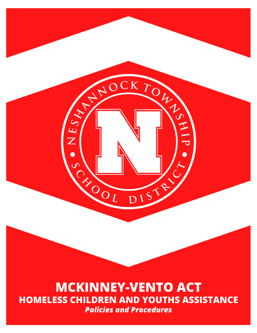

# **MCKINNEY-VENTO ACT HOMELESS CHILDREN AND YOUTHS ASSISTANCE Policies and Procedures**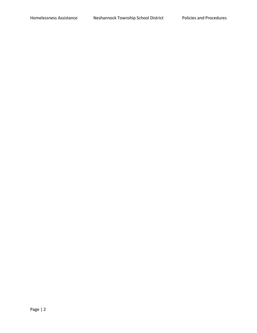Page | 2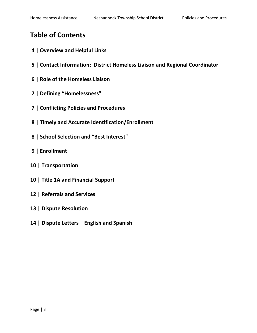# **Table of Contents**

- **4 | Overview and Helpful Links**
- **5 | Contact Information: District Homeless Liaison and Regional Coordinator**
- **6 | Role of the Homeless Liaison**
- **7 | Defining "Homelessness"**
- **7 | Conflicting Policies and Procedures**
- **8 | Timely and Accurate Identification/Enrollment**
- **8 | School Selection and "Best Interest"**
- **9 | Enrollment**
- **10 | Transportation**
- **10 | Title 1A and Financial Support**
- **12 | Referrals and Services**
- **13 | Dispute Resolution**
- **14 | Dispute Letters – English and Spanish**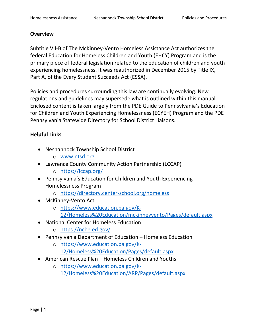#### **Overview**

Subtitle VII-B of The McKinney-Vento Homeless Assistance Act authorizes the federal Education for Homeless Children and Youth (EHCY) Program and is the primary piece of federal legislation related to the education of children and youth experiencing homelessness. It was reauthorized in December 2015 by Title IX, Part A, of the Every Student Succeeds Act (ESSA).

Policies and procedures surrounding this law are continually evolving. New regulations and guidelines may supersede what is outlined within this manual. Enclosed content is taken largely from the PDE Guide to Pennsylvania's Education for Children and Youth Experiencing Homelessness (ECYEH) Program and the PDE Pennsylvania Statewide Directory for School District Liaisons.

# **Helpful Links**

- Neshannock Township School District
	- o [www.ntsd.org](http://www.ntsd.org/)
- Lawrence County Community Action Partnership (LCCAP)
	- o <https://lccap.org/>
- Pennsylvania's Education for Children and Youth Experiencing Homelessness Program
	- o <https://directory.center-school.org/homeless>
- McKinney-Vento Act
	- o [https://www.education.pa.gov/K-](https://www.education.pa.gov/K-12/Homeless%20Education/mckinneyvento/Pages/default.aspx)[12/Homeless%20Education/mckinneyvento/Pages/default.aspx](https://www.education.pa.gov/K-12/Homeless%20Education/mckinneyvento/Pages/default.aspx)
- National Center for Homeless Education
	- o <https://nche.ed.gov/>
- Pennsylvania Department of Education Homeless Education
	- o [https://www.education.pa.gov/K-](https://www.education.pa.gov/K-12/Homeless%20Education/Pages/default.aspx)[12/Homeless%20Education/Pages/default.aspx](https://www.education.pa.gov/K-12/Homeless%20Education/Pages/default.aspx)
- American Rescue Plan Homeless Children and Youths
	- o [https://www.education.pa.gov/K-](https://www.education.pa.gov/K-12/Homeless%20Education/ARP/Pages/default.aspx)[12/Homeless%20Education/ARP/Pages/default.aspx](https://www.education.pa.gov/K-12/Homeless%20Education/ARP/Pages/default.aspx)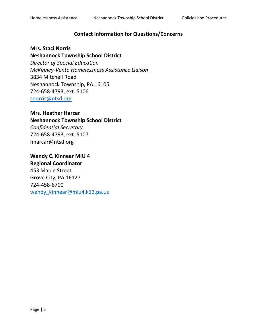# **Contact Information for Questions/Concerns**

#### **Mrs. Staci Norris Neshannock Township School District**

*Director of Special Education McKinney-Vento Homelessness Assistance Liaison* 3834 Mitchell Road Neshannock Township, PA 16105 724-658-4793, ext. 5106 [snorris@ntsd.org](mailto:snorris@ntsd.org)

#### **Mrs. Heather Harcar**

#### **Neshannock Township School District**

*Confidential Secretary* 724-658-4793, ext. 5107 hharcar@ntsd.org

# **Wendy C. Kinnear MIU 4**

**Regional Coordinator** 453 Maple Street Grove City, PA 16127 724-458-6700 wendy kinnear@miu4.k12.pa.us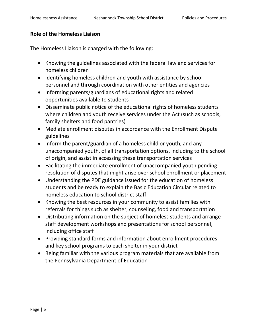#### **Role of the Homeless Liaison**

The Homeless Liaison is charged with the following:

- Knowing the guidelines associated with the federal law and services for homeless children
- Identifying homeless children and youth with assistance by school personnel and through coordination with other entities and agencies
- Informing parents/guardians of educational rights and related opportunities available to students
- Disseminate public notice of the educational rights of homeless students where children and youth receive services under the Act (such as schools, family shelters and food pantries)
- Mediate enrollment disputes in accordance with the Enrollment Dispute guidelines
- $\bullet$  Inform the parent/guardian of a homeless child or youth, and any unaccompanied youth, of all transportation options, including to the school of origin, and assist in accessing these transportation services
- Facilitating the immediate enrollment of unaccompanied youth pending resolution of disputes that might arise over school enrollment or placement
- Understanding the PDE guidance issued for the education of homeless students and be ready to explain the Basic Education Circular related to homeless education to school district staff
- Knowing the best resources in your community to assist families with referrals for things such as shelter, counseling, food and transportation
- Distributing information on the subject of homeless students and arrange staff development workshops and presentations for school personnel, including office staff
- Providing standard forms and information about enrollment procedures and key school programs to each shelter in your district
- Being familiar with the various program materials that are available from the Pennsylvania Department of Education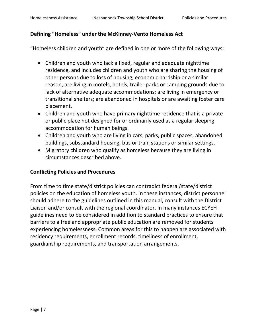# **Defining "Homeless" under the McKinney-Vento Homeless Act**

"Homeless children and youth" are defined in one or more of the following ways:

- Children and youth who lack a fixed, regular and adequate nighttime residence, and includes children and youth who are sharing the housing of other persons due to loss of housing, economic hardship or a similar reason; are living in motels, hotels, trailer parks or camping grounds due to lack of alternative adequate accommodations; are living in emergency or transitional shelters; are abandoned in hospitals or are awaiting foster care placement.
- Children and youth who have primary nighttime residence that is a private or public place not designed for or ordinarily used as a regular sleeping accommodation for human beings.
- Children and youth who are living in cars, parks, public spaces, abandoned buildings, substandard housing, bus or train stations or similar settings.
- Migratory children who qualify as homeless because they are living in circumstances described above.

#### **Conflicting Policies and Procedures**

From time to time state/district policies can contradict federal/state/district policies on the education of homeless youth. In these instances, district personnel should adhere to the guidelines outlined in this manual, consult with the District Liaison and/or consult with the regional coordinator. In many instances ECYEH guidelines need to be considered in addition to standard practices to ensure that barriers to a free and appropriate public education are removed for students experiencing homelessness. Common areas for this to happen are associated with residency requirements, enrollment records, timeliness of enrollment, guardianship requirements, and transportation arrangements.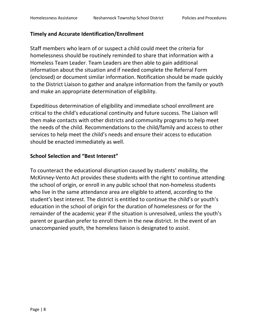# **Timely and Accurate Identification/Enrollment**

Staff members who learn of or suspect a child could meet the criteria for homelessness should be routinely reminded to share that information with a Homeless Team Leader. Team Leaders are then able to gain additional information about the situation and if needed complete the Referral Form (enclosed) or document similar information. Notification should be made quickly to the District Liaison to gather and analyze information from the family or youth and make an appropriate determination of eligibility.

Expeditious determination of eligibility and immediate school enrollment are critical to the child's educational continuity and future success. The Liaison will then make contacts with other districts and community programs to help meet the needs of the child. Recommendations to the child/family and access to other services to help meet the child's needs and ensure their access to education should be enacted immediately as well.

# **School Selection and "Best Interest"**

To counteract the educational disruption caused by students' mobility, the McKinney-Vento Act provides these students with the right to continue attending the school of origin, or enroll in any public school that non-homeless students who live in the same attendance area are eligible to attend, according to the student's best interest. The district is entitled to continue the child's or youth's education in the school of origin for the duration of homelessness or for the remainder of the academic year if the situation is unresolved, unless the youth's parent or guardian prefer to enroll them in the new district. In the event of an unaccompanied youth, the homeless liaison is designated to assist.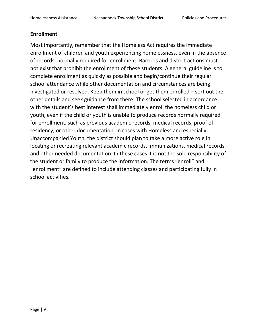## **Enrollment**

Most importantly, remember that the Homeless Act requires the immediate enrollment of children and youth experiencing homelessness, even in the absence of records, normally required for enrollment. Barriers and district actions must not exist that prohibit the enrollment of these students. A general guideline is to complete enrollment as quickly as possible and begin/continue their regular school attendance while other documentation and circumstances are being investigated or resolved. Keep them in school or get them enrolled – sort out the other details and seek guidance from there. The school selected in accordance with the student's best interest shall immediately enroll the homeless child or youth, even if the child or youth is unable to produce records normally required for enrollment, such as previous academic records, medical records, proof of residency, or other documentation. In cases with Homeless and especially Unaccompanied Youth, the district should plan to take a more active role in locating or recreating relevant academic records, immunizations, medical records and other needed documentation. In these cases it is not the sole responsibility of the student or family to produce the information. The terms "enroll" and "enrollment" are defined to include attending classes and participating fully in school activities.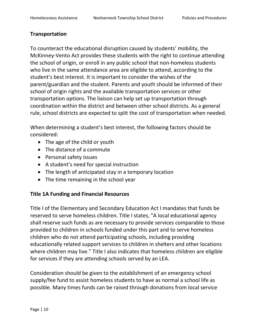#### **Transportation**

To counteract the educational disruption caused by students' mobility, the McKinney-Vento Act provides these students with the right to continue attending the school of origin, or enroll in any public school that non-homeless students who live in the same attendance area are eligible to attend, according to the student's best interest. It is important to consider the wishes of the parent/guardian and the student. Parents and youth should be informed of their school of origin rights and the available transportation services or other transportation options. The liaison can help set up transportation through coordination within the district and between other school districts. As a general rule, school districts are expected to split the cost of transportation when needed.

When determining a student's best interest, the following factors should be considered:

- The age of the child or youth
- The distance of a commute
- Personal safety issues
- A student's need for special instruction
- The length of anticipated stay in a temporary location
- The time remaining in the school year

#### **Title 1A Funding and Financial Resources**

Title I of the Elementary and Secondary Education Act I mandates that funds be reserved to serve homeless children. Title I states, "A local educational agency shall reserve such funds as are necessary to provide services comparable to those provided to children in schools funded under this part and to serve homeless children who do not attend participating schools, including providing educationally related support services to children in shelters and other locations where children may live." Title I also indicates that homeless children are eligible for services if they are attending schools served by an LEA.

Consideration should be given to the establishment of an emergency school supply/fee fund to assist homeless students to have as normal a school life as possible. Many times funds can be raised through donations from local service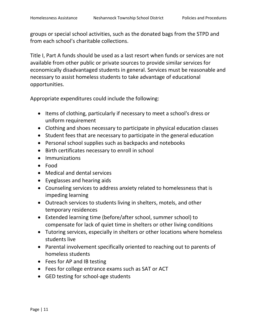groups or special school activities, such as the donated bags from the STPD and from each school's charitable collections.

Title I, Part A funds should be used as a last resort when funds or services are not available from other public or private sources to provide similar services for economically disadvantaged students in general. Services must be reasonable and necessary to assist homeless students to take advantage of educational opportunities.

Appropriate expenditures could include the following:

- Items of clothing, particularly if necessary to meet a school's dress or uniform requirement
- Clothing and shoes necessary to participate in physical education classes
- Student fees that are necessary to participate in the general education
- Personal school supplies such as backpacks and notebooks
- Birth certificates necessary to enroll in school
- Immunizations
- Food
- Medical and dental services
- Eyeglasses and hearing aids
- Counseling services to address anxiety related to homelessness that is impeding learning
- Outreach services to students living in shelters, motels, and other temporary residences
- Extended learning time (before/after school, summer school) to compensate for lack of quiet time in shelters or other living conditions
- Tutoring services, especially in shelters or other locations where homeless students live
- Parental involvement specifically oriented to reaching out to parents of homeless students
- Fees for AP and IB testing
- Fees for college entrance exams such as SAT or ACT
- GED testing for school-age students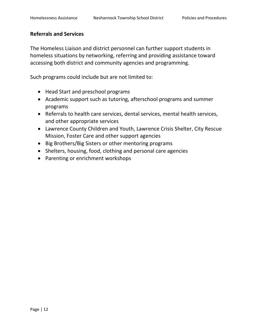#### **Referrals and Services**

The Homeless Liaison and district personnel can further support students in homeless situations by networking, referring and providing assistance toward accessing both district and community agencies and programming.

Such programs could include but are not limited to:

- Head Start and preschool programs
- Academic support such as tutoring, afterschool programs and summer programs
- Referrals to health care services, dental services, mental health services, and other appropriate services
- Lawrence County Children and Youth, Lawrence Crisis Shelter, City Rescue Mission, Foster Care and other support agencies
- Big Brothers/Big Sisters or other mentoring programs
- Shelters, housing, food, clothing and personal care agencies
- Parenting or enrichment workshops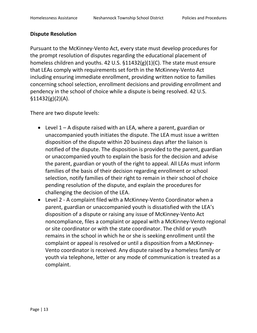#### **Dispute Resolution**

Pursuant to the McKinney-Vento Act, every state must develop procedures for the prompt resolution of disputes regarding the educational placement of homeless children and youths. 42 U.S. §11432(g)(1)(C). The state must ensure that LEAs comply with requirements set forth in the McKinney-Vento Act including ensuring immediate enrollment, providing written notice to families concerning school selection, enrollment decisions and providing enrollment and pendency in the school of choice while a dispute is being resolved. 42 U.S.  $$11432(g)(2)(A).$ 

There are two dispute levels:

- Level  $1 A$  dispute raised with an LEA, where a parent, guardian or unaccompanied youth initiates the dispute. The LEA must issue a written disposition of the dispute within 20 business days after the liaison is notified of the dispute. The disposition is provided to the parent, guardian or unaccompanied youth to explain the basis for the decision and advise the parent, guardian or youth of the right to appeal. All LEAs must inform families of the basis of their decision regarding enrollment or school selection, notify families of their right to remain in their school of choice pending resolution of the dispute, and explain the procedures for challenging the decision of the LEA.
- Level 2 A complaint filed with a McKinney-Vento Coordinator when a parent, guardian or unaccompanied youth is dissatisfied with the LEA's disposition of a dispute or raising any issue of McKinney-Vento Act noncompliance, files a complaint or appeal with a McKinney-Vento regional or site coordinator or with the state coordinator. The child or youth remains in the school in which he or she is seeking enrollment until the complaint or appeal is resolved or until a disposition from a McKinney-Vento coordinator is received. Any dispute raised by a homeless family or youth via telephone, letter or any mode of communication is treated as a complaint.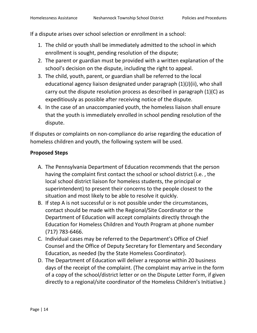If a dispute arises over school selection or enrollment in a school:

- 1. The child or youth shall be immediately admitted to the school in which enrollment is sought, pending resolution of the dispute;
- 2. The parent or guardian must be provided with a written explanation of the school's decision on the dispute, including the right to appeal.
- 3. The child, youth, parent, or guardian shall be referred to the local educational agency liaison designated under paragraph (1)(J)(ii), who shall carry out the dispute resolution process as described in paragraph (1)(C) as expeditiously as possible after receiving notice of the dispute.
- 4. In the case of an unaccompanied youth, the homeless liaison shall ensure that the youth is immediately enrolled in school pending resolution of the dispute.

If disputes or complaints on non-compliance do arise regarding the education of homeless children and youth, the following system will be used.

# **Proposed Steps**

- A. The Pennsylvania Department of Education recommends that the person having the complaint first contact the school or school district (i.e. , the local school district liaison for homeless students, the principal or superintendent) to present their concerns to the people closest to the situation and most likely to be able to resolve it quickly.
- B. If step A is not successful or is not possible under the circumstances, contact should be made with the Regional/Site Coordinator or the Department of Education will accept complaints directly through the Education for Homeless Children and Youth Program at phone number (717) 783-6466.
- C. Individual cases may be referred to the Department's Office of Chief Counsel and the Office of Deputy Secretary for Elementary and Secondary Education, as needed (by the State Homeless Coordinator).
- D. The Department of Education will deliver a response within 20 business days of the receipt of the complaint. (The complaint may arrive in the form of a copy of the school/district letter or on the Dispute Letter Form, if given directly to a regional/site coordinator of the Homeless Children's Initiative.)